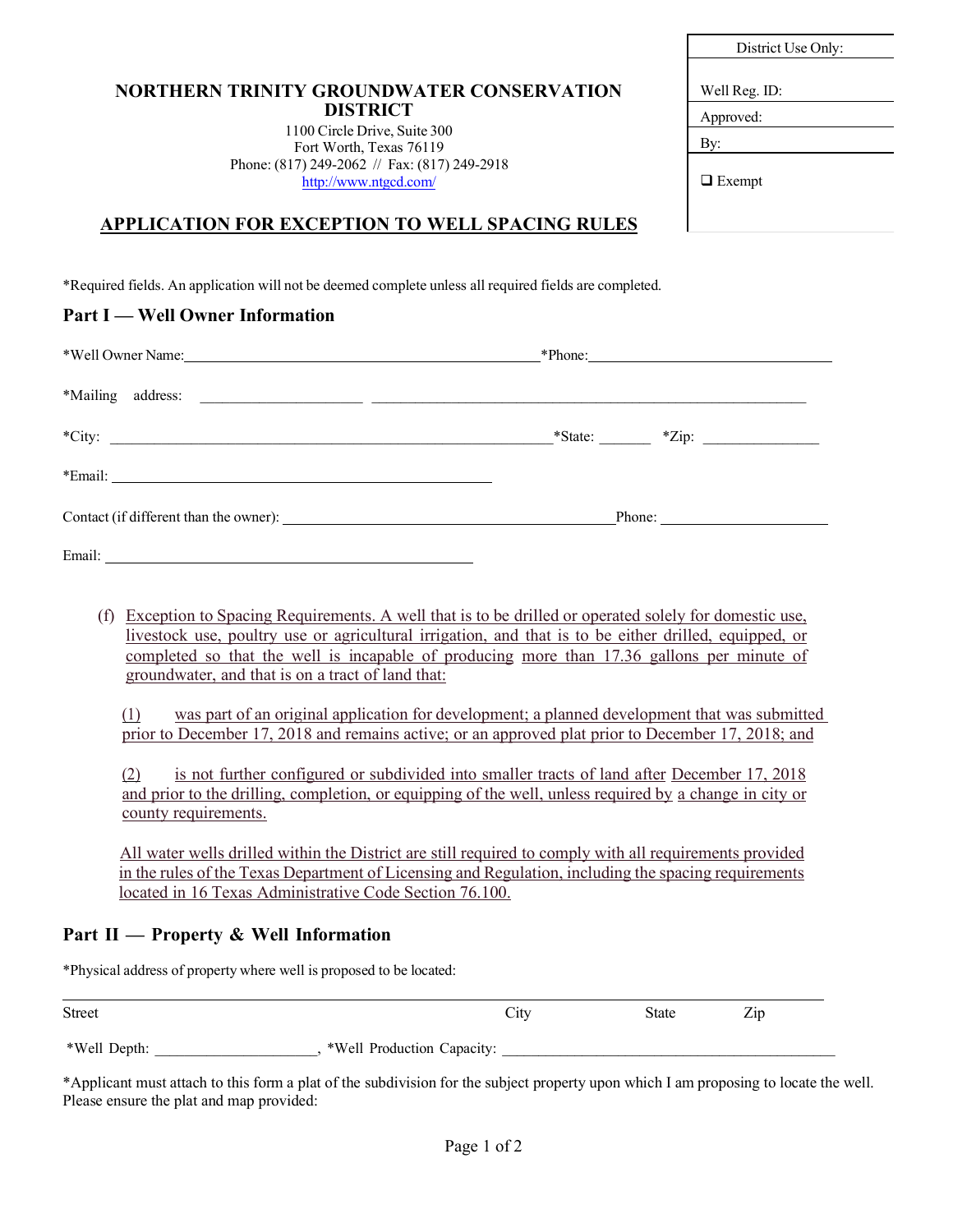| <b>NORTHERN TRINITY GROUNDWATER CONSERVATION</b> |
|--------------------------------------------------|
| <b>DISTRICT</b>                                  |

1100 Circle Drive, Suite 300 Fort Worth, Texas 76119 Phone: (817) 249-2062 // Fax: (817) 249-2918 <http://www.ntgcd.com/>

\*Required fields. An application will not be deemed complete unless all required fields are completed.

### **Part I — Well Owner Information**

| *Well Owner Name: Name: Name: Name: Name: Name: Name: Name: Name: Name: Name: Name: Name: Name: Name: Name: Name: Name: Name: Name: Name: Name: Name: Name: Name: Name: Name: Name: Name: Name: Name: Name: Name: Name: Name: | *Phone: |
|-------------------------------------------------------------------------------------------------------------------------------------------------------------------------------------------------------------------------------|---------|
|                                                                                                                                                                                                                               |         |
| $*City:$                                                                                                                                                                                                                      |         |
|                                                                                                                                                                                                                               |         |
|                                                                                                                                                                                                                               | Phone:  |
|                                                                                                                                                                                                                               |         |

(f) Exception to Spacing Requirements. A well that is to be drilled or operated solely for domestic use, livestock use, poultry use or agricultural irrigation, and that is to be either drilled, equipped, or completed so that the well is incapable of producing more than 17.36 gallons per minute of groundwater, and that is on a tract of land that:

(1) was part of an original application for development; a planned development that was submitted prior to December 17, 2018 and remains active; or an approved plat prior to December 17, 2018; and

(2) is not further configured or subdivided into smaller tracts of land after December 17, 2018 and prior to the drilling, completion, or equipping of the well, unless required by a change in city or county requirements.

All water wells drilled within the District are still required to comply with all requirements provided in the rules of the Texas Department of Licensing and Regulation, including the spacing requirements located in 16 Texas Administrative Code Section 76.100.

### **Part II — Property & Well Information**

\*Physical address of property where well is proposed to be located:

| Street       | $\cup$ 11)                 | State | $\overline{\phantom{a}}$<br>$\mathcal{L}$ ip |  |
|--------------|----------------------------|-------|----------------------------------------------|--|
| *Well Depth: | *Well Production Capacity: |       |                                              |  |

\*Applicant must attach to this form a plat of the subdivision for the subject property upon which I am proposing to locate the well. Please ensure the plat and map provided:

 $D' \cdot \cdot \cdot H$ :  $\Omega$ :